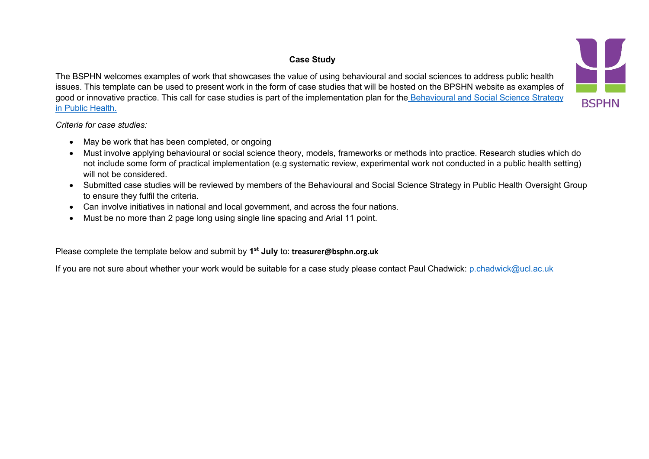## **Case Study**

The BSPHN welcomes examples of work that showcases the value of using behavioural and social sciences to address public health issues. This template can be used to present work in the form of case studies that will be hosted on the BPSHN website as examples of good or innovative practice. This call for case studies is part of the implementation plan for the Behavioural and Social Science Strategy in Public Health.



## *Criteria for case studies:*

- May be work that has been completed, or ongoing
- Must involve applying behavioural or social science theory, models, frameworks or methods into practice. Research studies which do not include some form of practical implementation (e.g systematic review, experimental work not conducted in a public health setting) will not be considered.
- Submitted case studies will be reviewed by members of the Behavioural and Social Science Strategy in Public Health Oversight Group to ensure they fulfil the criteria.
- Can involve initiatives in national and local government, and across the four nations.
- Must be no more than 2 page long using single line spacing and Arial 11 point.

Please complete the template below and submit by **1st July** to: **treasurer@bsphn.org.uk**

If you are not sure about whether your work would be suitable for a case study please contact Paul Chadwick: p.chadwick@ucl.ac.uk